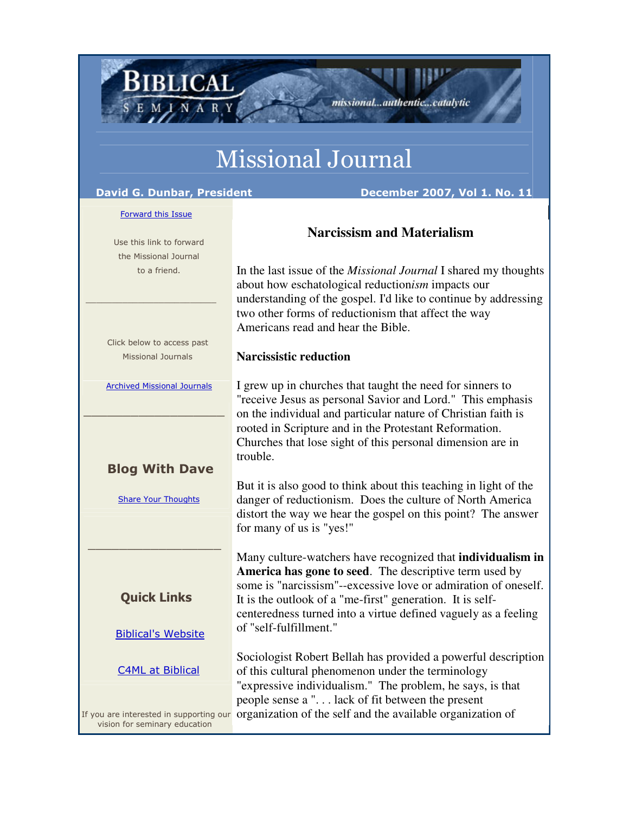# Missional Journal

**IBLICAL** 

David G. Dunbar, President **December 2007, Vol 1. No. 11** 

Forward this Issue

 Use this link to forward the Missional Journal to a friend.

 Click below to access past Missional Journals

 $\frac{1}{2}$  , and the set of the set of the set of the set of the set of the set of the set of the set of the set of the set of the set of the set of the set of the set of the set of the set of the set of the set of the set

Archived Missional Journals

 $\_$  , and the set of the set of the set of the set of the set of the set of the set of the set of the set of the set of the set of the set of the set of the set of the set of the set of the set of the set of the set of th

#### Blog With Dave

Share Your Thoughts

### Quick Links

\_\_\_\_\_\_\_\_\_\_\_\_\_\_\_\_\_

Biblical's Website

#### C4ML at Biblical

vision for seminary education

## **Narcissism and Materialism**

missional...authentic...catalytic

In the last issue of the *Missional Journal* I shared my thoughts about how eschatological reduction*ism* impacts our understanding of the gospel. I'd like to continue by addressing two other forms of reductionism that affect the way Americans read and hear the Bible.

#### **Narcissistic reduction**

I grew up in churches that taught the need for sinners to "receive Jesus as personal Savior and Lord." This emphasis on the individual and particular nature of Christian faith is rooted in Scripture and in the Protestant Reformation. Churches that lose sight of this personal dimension are in trouble.

But it is also good to think about this teaching in light of the danger of reductionism. Does the culture of North America distort the way we hear the gospel on this point? The answer for many of us is "yes!"

Many culture-watchers have recognized that **individualism in America has gone to seed**. The descriptive term used by some is "narcissism"--excessive love or admiration of oneself. It is the outlook of a "me-first" generation. It is selfcenteredness turned into a virtue defined vaguely as a feeling of "self-fulfillment."

If you are interested in supporting our organization of the self and the available organization of Sociologist Robert Bellah has provided a powerful description of this cultural phenomenon under the terminology "expressive individualism." The problem, he says, is that people sense a ". . . lack of fit between the present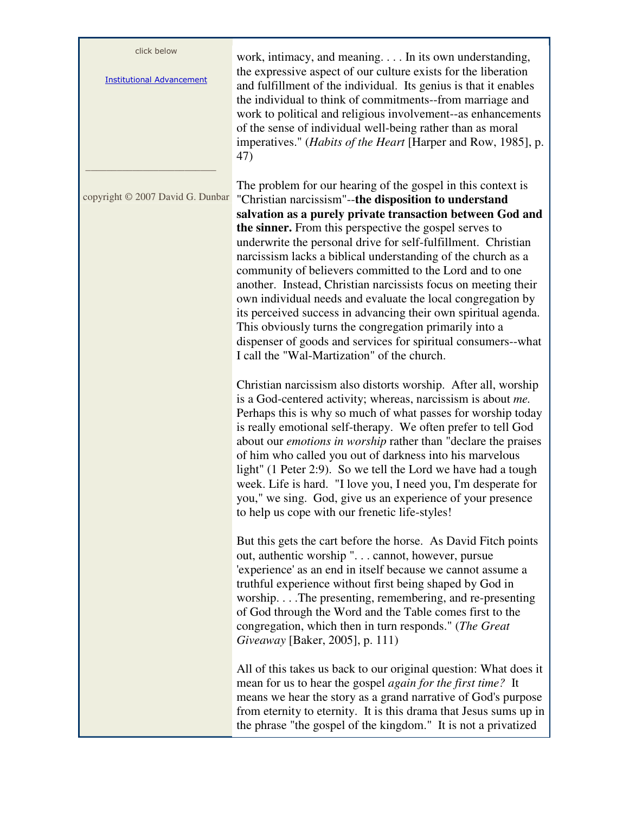| click below<br><b>Institutional Advancement</b> | work, intimacy, and meaning In its own understanding,<br>the expressive aspect of our culture exists for the liberation<br>and fulfillment of the individual. Its genius is that it enables<br>the individual to think of commitments--from marriage and<br>work to political and religious involvement--as enhancements<br>of the sense of individual well-being rather than as moral<br>imperatives." ( <i>Habits of the Heart</i> [Harper and Row, 1985], p.<br>47)                                                                                                                                                                                                                                                                                                                                                |
|-------------------------------------------------|-----------------------------------------------------------------------------------------------------------------------------------------------------------------------------------------------------------------------------------------------------------------------------------------------------------------------------------------------------------------------------------------------------------------------------------------------------------------------------------------------------------------------------------------------------------------------------------------------------------------------------------------------------------------------------------------------------------------------------------------------------------------------------------------------------------------------|
| copyright © 2007 David G. Dunbar                | The problem for our hearing of the gospel in this context is<br>"Christian narcissism"--the disposition to understand<br>salvation as a purely private transaction between God and<br>the sinner. From this perspective the gospel serves to<br>underwrite the personal drive for self-fulfillment. Christian<br>narcissism lacks a biblical understanding of the church as a<br>community of believers committed to the Lord and to one<br>another. Instead, Christian narcissists focus on meeting their<br>own individual needs and evaluate the local congregation by<br>its perceived success in advancing their own spiritual agenda.<br>This obviously turns the congregation primarily into a<br>dispenser of goods and services for spiritual consumers--what<br>I call the "Wal-Martization" of the church. |
|                                                 | Christian narcissism also distorts worship. After all, worship<br>is a God-centered activity; whereas, narcissism is about me.<br>Perhaps this is why so much of what passes for worship today<br>is really emotional self-therapy. We often prefer to tell God<br>about our <i>emotions in worship</i> rather than "declare the praises<br>of him who called you out of darkness into his marvelous<br>light" (1 Peter 2:9). So we tell the Lord we have had a tough<br>week. Life is hard. "I love you, I need you, I'm desperate for<br>you," we sing. God, give us an experience of your presence<br>to help us cope with our frenetic life-styles!                                                                                                                                                               |
|                                                 | But this gets the cart before the horse. As David Fitch points<br>out, authentic worship ". cannot, however, pursue<br>'experience' as an end in itself because we cannot assume a<br>truthful experience without first being shaped by God in<br>worshipThe presenting, remembering, and re-presenting<br>of God through the Word and the Table comes first to the<br>congregation, which then in turn responds." (The Great<br>Giveaway [Baker, 2005], p. 111)                                                                                                                                                                                                                                                                                                                                                      |
|                                                 | All of this takes us back to our original question: What does it<br>mean for us to hear the gospel <i>again for the first time</i> ? It<br>means we hear the story as a grand narrative of God's purpose<br>from eternity to eternity. It is this drama that Jesus sums up in<br>the phrase "the gospel of the kingdom." It is not a privatized                                                                                                                                                                                                                                                                                                                                                                                                                                                                       |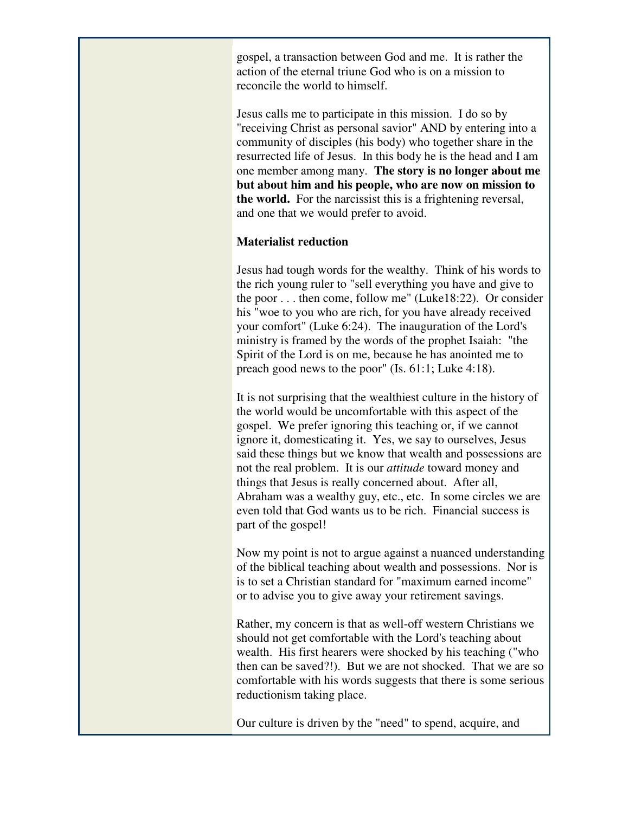gospel, a transaction between God and me. It is rather the action of the eternal triune God who is on a mission to reconcile the world to himself.

Jesus calls me to participate in this mission. I do so by "receiving Christ as personal savior" AND by entering into a community of disciples (his body) who together share in the resurrected life of Jesus. In this body he is the head and I am one member among many. **The story is no longer about me but about him and his people, who are now on mission to the world.** For the narcissist this is a frightening reversal, and one that we would prefer to avoid.

#### **Materialist reduction**

Jesus had tough words for the wealthy. Think of his words to the rich young ruler to "sell everything you have and give to the poor . . . then come, follow me" (Luke18:22). Or consider his "woe to you who are rich, for you have already received your comfort" (Luke 6:24). The inauguration of the Lord's ministry is framed by the words of the prophet Isaiah: "the Spirit of the Lord is on me, because he has anointed me to preach good news to the poor" (Is. 61:1; Luke 4:18).

It is not surprising that the wealthiest culture in the history of the world would be uncomfortable with this aspect of the gospel. We prefer ignoring this teaching or, if we cannot ignore it, domesticating it. Yes, we say to ourselves, Jesus said these things but we know that wealth and possessions are not the real problem. It is our *attitude* toward money and things that Jesus is really concerned about. After all, Abraham was a wealthy guy, etc., etc. In some circles we are even told that God wants us to be rich. Financial success is part of the gospel!

Now my point is not to argue against a nuanced understanding of the biblical teaching about wealth and possessions. Nor is is to set a Christian standard for "maximum earned income" or to advise you to give away your retirement savings.

Rather, my concern is that as well-off western Christians we should not get comfortable with the Lord's teaching about wealth. His first hearers were shocked by his teaching ("who then can be saved?!). But we are not shocked. That we are so comfortable with his words suggests that there is some serious reductionism taking place.

Our culture is driven by the "need" to spend, acquire, and